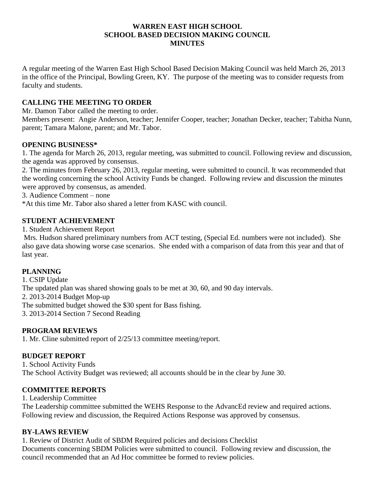#### **WARREN EAST HIGH SCHOOL SCHOOL BASED DECISION MAKING COUNCIL MINUTES**

A regular meeting of the Warren East High School Based Decision Making Council was held March 26, 2013 in the office of the Principal, Bowling Green, KY. The purpose of the meeting was to consider requests from faculty and students.

# **CALLING THE MEETING TO ORDER**

Mr. Damon Tabor called the meeting to order.

Members present: Angie Anderson, teacher; Jennifer Cooper, teacher; Jonathan Decker, teacher; Tabitha Nunn, parent; Tamara Malone, parent; and Mr. Tabor.

# **OPENING BUSINESS\***

1. The agenda for March 26, 2013, regular meeting, was submitted to council. Following review and discussion, the agenda was approved by consensus.

2. The minutes from February 26, 2013, regular meeting, were submitted to council. It was recommended that the wording concerning the school Activity Funds be changed. Following review and discussion the minutes were approved by consensus, as amended.

3. Audience Comment – none

\*At this time Mr. Tabor also shared a letter from KASC with council.

# **STUDENT ACHIEVEMENT**

1. Student Achievement Report

Mrs. Hudson shared preliminary numbers from ACT testing, (Special Ed. numbers were not included). She also gave data showing worse case scenarios. She ended with a comparison of data from this year and that of last year.

# **PLANNING**

1. CSIP Update The updated plan was shared showing goals to be met at 30, 60, and 90 day intervals. 2. 2013-2014 Budget Mop-up The submitted budget showed the \$30 spent for Bass fishing. 3. 2013-2014 Section 7 Second Reading

# **PROGRAM REVIEWS**

1. Mr. Cline submitted report of 2/25/13 committee meeting/report.

# **BUDGET REPORT**

1. School Activity Funds The School Activity Budget was reviewed; all accounts should be in the clear by June 30.

# **COMMITTEE REPORTS**

1. Leadership Committee

The Leadership committee submitted the WEHS Response to the AdvancEd review and required actions. Following review and discussion, the Required Actions Response was approved by consensus.

# **BY-LAWS REVIEW**

1. Review of District Audit of SBDM Required policies and decisions Checklist Documents concerning SBDM Policies were submitted to council. Following review and discussion, the council recommended that an Ad Hoc committee be formed to review policies.